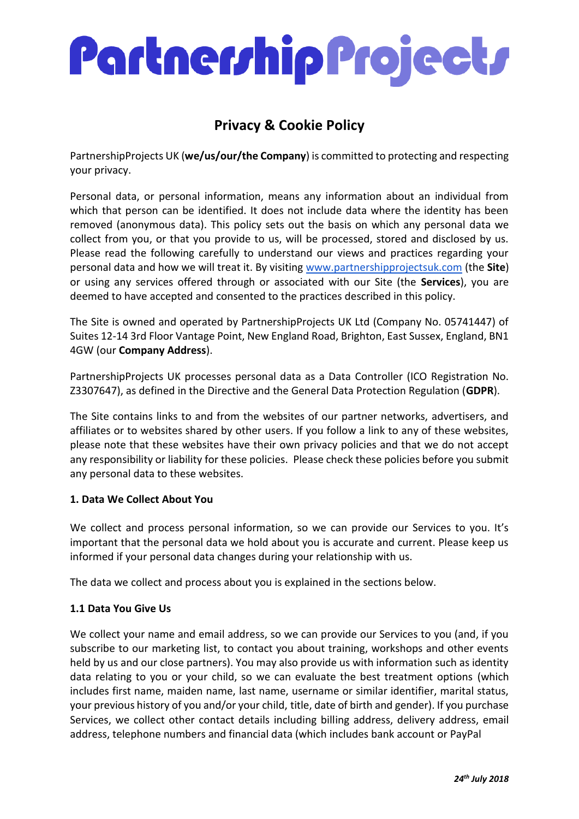### **Privacy & Cookie Policy**

PartnershipProjects UK (**we/us/our/the Company**) is committed to protecting and respecting your privacy.

Personal data, or personal information, means any information about an individual from which that person can be identified. It does not include data where the identity has been removed (anonymous data). This policy sets out the basis on which any personal data we collect from you, or that you provide to us, will be processed, stored and disclosed by us. Please read the following carefully to understand our views and practices regarding your personal data and how we will treat it. By visiting [www.partnershipprojectsuk.com](http://www.partnershipprojectsuk.com/) (the **Site**) or using any services offered through or associated with our Site (the **Services**), you are deemed to have accepted and consented to the practices described in this policy.

The Site is owned and operated by PartnershipProjects UK Ltd (Company No. 05741447) of Suites 12-14 3rd Floor Vantage Point, New England Road, Brighton, East Sussex, England, BN1 4GW (our **Company Address**).

PartnershipProjects UK processes personal data as a Data Controller (ICO Registration No. Z3307647), as defined in the Directive and the General Data Protection Regulation (**GDPR**).

The Site contains links to and from the websites of our partner networks, advertisers, and affiliates or to websites shared by other users. If you follow a link to any of these websites, please note that these websites have their own privacy policies and that we do not accept any responsibility or liability for these policies. Please check these policies before you submit any personal data to these websites.

#### **1. Data We Collect About You**

We collect and process personal information, so we can provide our Services to you. It's important that the personal data we hold about you is accurate and current. Please keep us informed if your personal data changes during your relationship with us.

The data we collect and process about you is explained in the sections below.

#### **1.1 Data You Give Us**

We collect your name and email address, so we can provide our Services to you (and, if you subscribe to our marketing list, to contact you about training, workshops and other events held by us and our close partners). You may also provide us with information such as identity data relating to you or your child, so we can evaluate the best treatment options (which includes first name, maiden name, last name, username or similar identifier, marital status, your previous history of you and/or your child, title, date of birth and gender). If you purchase Services, we collect other contact details including billing address, delivery address, email address, telephone numbers and financial data (which includes bank account or PayPal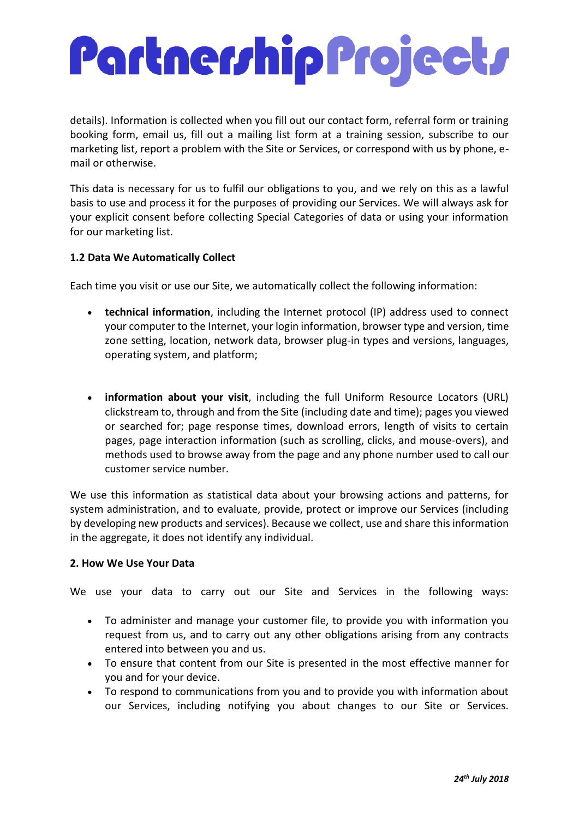details). Information is collected when you fill out our contact form, referral form or training booking form, email us, fill out a mailing list form at a training session, subscribe to our marketing list, report a problem with the Site or Services, or correspond with us by phone, email or otherwise.

This data is necessary for us to fulfil our obligations to you, and we rely on this as a lawful basis to use and process it for the purposes of providing our Services. We will always ask for your explicit consent before collecting Special Categories of data or using your information for our marketing list.

#### **1.2 Data We Automatically Collect**

Each time you visit or use our Site, we automatically collect the following information:

- **technical information**, including the Internet protocol (IP) address used to connect your computer to the Internet, your login information, browser type and version, time zone setting, location, network data, browser plug-in types and versions, languages, operating system, and platform;
- **information about your visit**, including the full Uniform Resource Locators (URL) clickstream to, through and from the Site (including date and time); pages you viewed or searched for; page response times, download errors, length of visits to certain pages, page interaction information (such as scrolling, clicks, and mouse-overs), and methods used to browse away from the page and any phone number used to call our customer service number.

We use this information as statistical data about your browsing actions and patterns, for system administration, and to evaluate, provide, protect or improve our Services (including by developing new products and services). Because we collect, use and share this information in the aggregate, it does not identify any individual.

#### **2. How We Use Your Data**

We use your data to carry out our Site and Services in the following ways:

- To administer and manage your customer file, to provide you with information you request from us, and to carry out any other obligations arising from any contracts entered into between you and us.
- To ensure that content from our Site is presented in the most effective manner for you and for your device.
- To respond to communications from you and to provide you with information about our Services, including notifying you about changes to our Site or Services.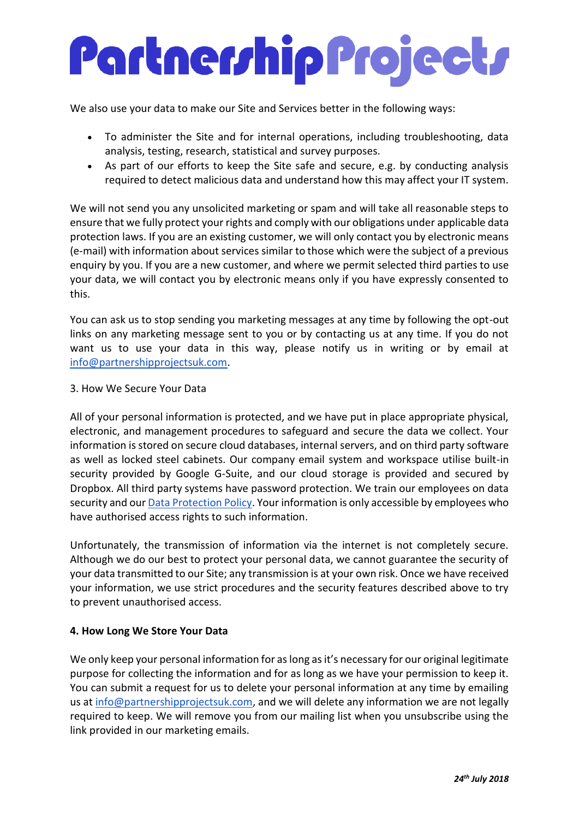We also use your data to make our Site and Services better in the following ways:

- To administer the Site and for internal operations, including troubleshooting, data analysis, testing, research, statistical and survey purposes.
- As part of our efforts to keep the Site safe and secure, e.g. by conducting analysis required to detect malicious data and understand how this may affect your IT system.

We will not send you any unsolicited marketing or spam and will take all reasonable steps to ensure that we fully protect your rights and comply with our obligations under applicable data protection laws. If you are an existing customer, we will only contact you by electronic means (e-mail) with information about services similar to those which were the subject of a previous enquiry by you. If you are a new customer, and where we permit selected third parties to use your data, we will contact you by electronic means only if you have expressly consented to this.

You can ask us to stop sending you marketing messages at any time by following the opt-out links on any marketing message sent to you or by contacting us at any time. If you do not want us to use your data in this way, please notify us in writing or by email at [info@partnershipprojectsuk.com.](mailto:info@partnershipprojectsuk.com)

#### 3. How We Secure Your Data

All of your personal information is protected, and we have put in place appropriate physical, electronic, and management procedures to safeguard and secure the data we collect. Your information is stored on secure cloud databases, internal servers, and on third party software as well as locked steel cabinets. Our company email system and workspace utilise built-in security provided by Google G-Suite, and our cloud storage is provided and secured by Dropbox. All third party systems have password protection. We train our employees on data security and our **Data Protection Policy**. Your information is only accessible by employees who have authorised access rights to such information.

Unfortunately, the transmission of information via the internet is not completely secure. Although we do our best to protect your personal data, we cannot guarantee the security of your data transmitted to our Site; any transmission is at your own risk. Once we have received your information, we use strict procedures and the security features described above to try to prevent unauthorised access.

#### **4. How Long We Store Your Data**

We only keep your personal information for as long as it's necessary for our original legitimate purpose for collecting the information and for as long as we have your permission to keep it. You can submit a request for us to delete your personal information at any time by emailing us at [info@partnershipprojectsuk.com,](mailto:info@partnershipprojectsuk.com) and we will delete any information we are not legally required to keep. We will remove you from our mailing list when you unsubscribe using the link provided in our marketing emails.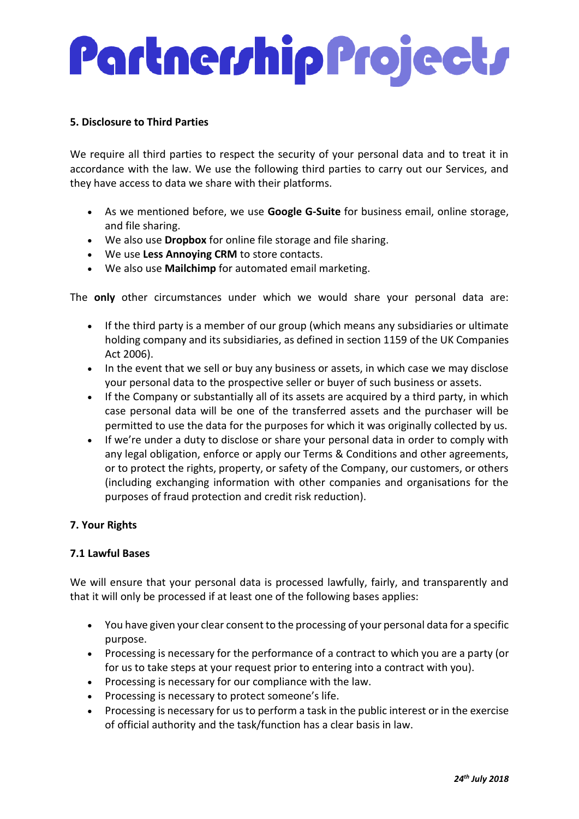#### **5. Disclosure to Third Parties**

We require all third parties to respect the security of your personal data and to treat it in accordance with the law. We use the following third parties to carry out our Services, and they have access to data we share with their platforms.

- As we mentioned before, we use **Google G-Suite** for business email, online storage, and file sharing.
- We also use **Dropbox** for online file storage and file sharing.
- We use **Less Annoying CRM** to store contacts.
- We also use **Mailchimp** for automated email marketing.

The **only** other circumstances under which we would share your personal data are:

- If the third party is a member of our group (which means any subsidiaries or ultimate holding company and its subsidiaries, as defined in section 1159 of the UK Companies Act 2006).
- In the event that we sell or buy any business or assets, in which case we may disclose your personal data to the prospective seller or buyer of such business or assets.
- If the Company or substantially all of its assets are acquired by a third party, in which case personal data will be one of the transferred assets and the purchaser will be permitted to use the data for the purposes for which it was originally collected by us.
- If we're under a duty to disclose or share your personal data in order to comply with any legal obligation, enforce or apply our Terms & Conditions and other agreements, or to protect the rights, property, or safety of the Company, our customers, or others (including exchanging information with other companies and organisations for the purposes of fraud protection and credit risk reduction).

#### **7. Your Rights**

#### **7.1 Lawful Bases**

We will ensure that your personal data is processed lawfully, fairly, and transparently and that it will only be processed if at least one of the following bases applies:

- You have given your clear consent to the processing of your personal data for a specific purpose.
- Processing is necessary for the performance of a contract to which you are a party (or for us to take steps at your request prior to entering into a contract with you).
- Processing is necessary for our compliance with the law.
- Processing is necessary to protect someone's life.
- Processing is necessary for us to perform a task in the public interest or in the exercise of official authority and the task/function has a clear basis in law.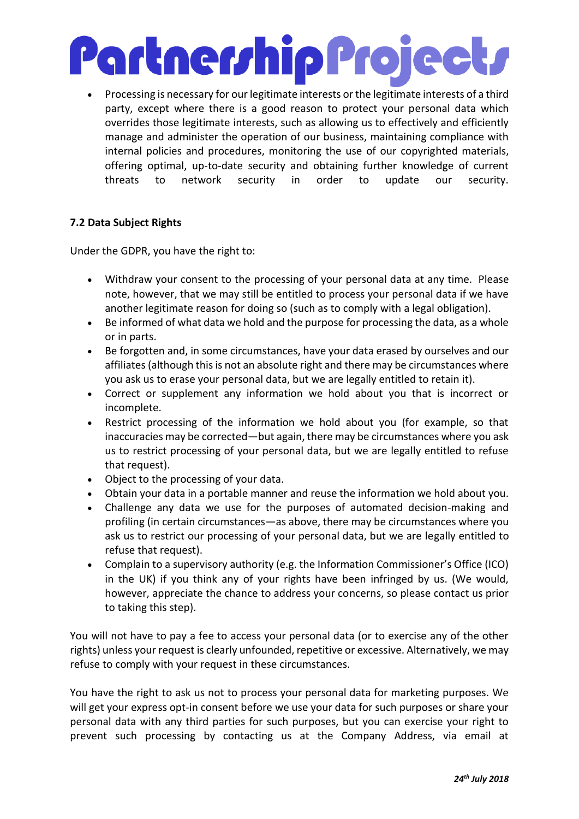## Partner/hip Project/

• Processing is necessary for our legitimate interests or the legitimate interests of a third party, except where there is a good reason to protect your personal data which overrides those legitimate interests, such as allowing us to effectively and efficiently manage and administer the operation of our business, maintaining compliance with internal policies and procedures, monitoring the use of our copyrighted materials, offering optimal, up-to-date security and obtaining further knowledge of current threats to network security in order to update our security.

#### **7.2 Data Subject Rights**

Under the GDPR, you have the right to:

- Withdraw your consent to the processing of your personal data at any time. Please note, however, that we may still be entitled to process your personal data if we have another legitimate reason for doing so (such as to comply with a legal obligation).
- Be informed of what data we hold and the purpose for processing the data, as a whole or in parts.
- Be forgotten and, in some circumstances, have your data erased by ourselves and our affiliates (although this is not an absolute right and there may be circumstances where you ask us to erase your personal data, but we are legally entitled to retain it).
- Correct or supplement any information we hold about you that is incorrect or incomplete.
- Restrict processing of the information we hold about you (for example, so that inaccuracies may be corrected—but again, there may be circumstances where you ask us to restrict processing of your personal data, but we are legally entitled to refuse that request).
- Object to the processing of your data.
- Obtain your data in a portable manner and reuse the information we hold about you.
- Challenge any data we use for the purposes of automated decision-making and profiling (in certain circumstances—as above, there may be circumstances where you ask us to restrict our processing of your personal data, but we are legally entitled to refuse that request).
- Complain to a supervisory authority (e.g. the Information Commissioner's Office (ICO) in the UK) if you think any of your rights have been infringed by us. (We would, however, appreciate the chance to address your concerns, so please contact us prior to taking this step).

You will not have to pay a fee to access your personal data (or to exercise any of the other rights) unless your request is clearly unfounded, repetitive or excessive. Alternatively, we may refuse to comply with your request in these circumstances.

You have the right to ask us not to process your personal data for marketing purposes. We will get your express opt-in consent before we use your data for such purposes or share your personal data with any third parties for such purposes, but you can exercise your right to prevent such processing by contacting us at the Company Address, via email at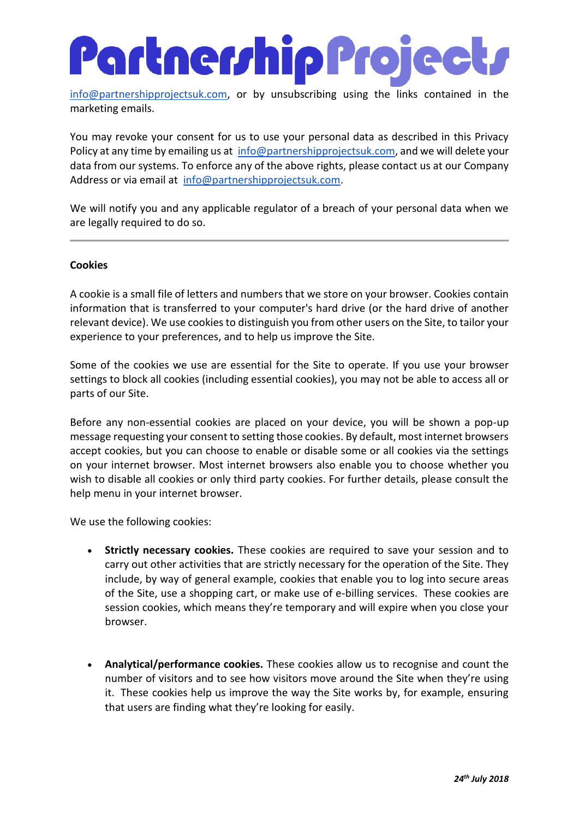### Partner/hip Project/

[info@partnershipprojectsuk.com,](mailto:info@partnershipprojectsuk.com) or by unsubscribing using the links contained in the marketing emails.

You may revoke your consent for us to use your personal data as described in this Privacy Policy at any time by emailing us at [info@partnershipprojectsuk.com,](mailto:info@partnershipprojectsuk.com) and we will delete your data from our systems. To enforce any of the above rights, please contact us at our Company Address or via email at [info@partnershipprojectsuk.com.](mailto:info@partnershipprojectsuk.com)

We will notify you and any applicable regulator of a breach of your personal data when we are legally required to do so.

#### **Cookies**

A cookie is a small file of letters and numbers that we store on your browser. Cookies contain information that is transferred to your computer's hard drive (or the hard drive of another relevant device). We use cookies to distinguish you from other users on the Site, to tailor your experience to your preferences, and to help us improve the Site.

Some of the cookies we use are essential for the Site to operate. If you use your browser settings to block all cookies (including essential cookies), you may not be able to access all or parts of our Site.

Before any non-essential cookies are placed on your device, you will be shown a pop-up message requesting your consent to setting those cookies. By default, most internet browsers accept cookies, but you can choose to enable or disable some or all cookies via the settings on your internet browser. Most internet browsers also enable you to choose whether you wish to disable all cookies or only third party cookies. For further details, please consult the help menu in your internet browser.

We use the following cookies:

- **Strictly necessary cookies.** These cookies are required to save your session and to carry out other activities that are strictly necessary for the operation of the Site. They include, by way of general example, cookies that enable you to log into secure areas of the Site, use a shopping cart, or make use of e-billing services. These cookies are session cookies, which means they're temporary and will expire when you close your browser.
- **Analytical/performance cookies.** These cookies allow us to recognise and count the number of visitors and to see how visitors move around the Site when they're using it. These cookies help us improve the way the Site works by, for example, ensuring that users are finding what they're looking for easily.